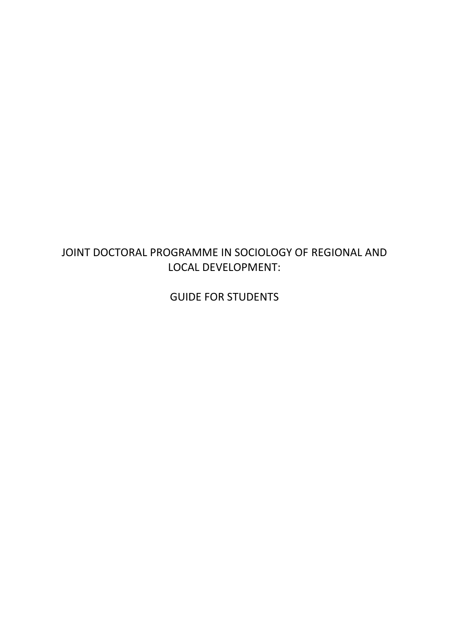# JOINT DOCTORAL PROGRAMME IN SOCIOLOGY OF REGIONAL AND LOCAL DEVELOPMENT:

GUIDE FOR STUDENTS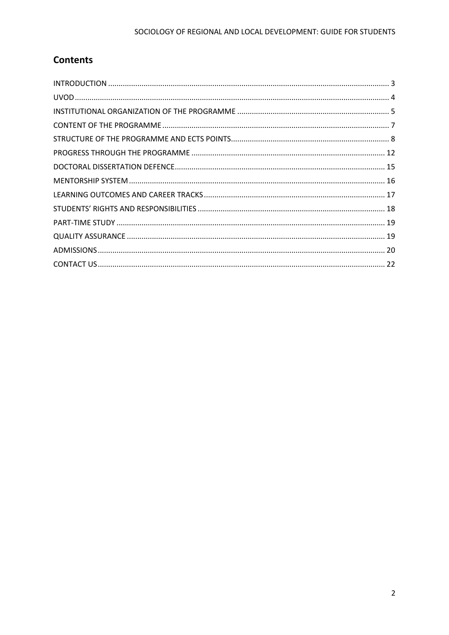# **Contents**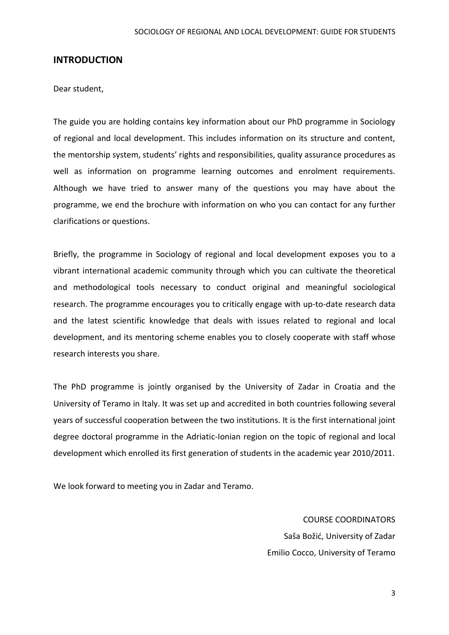### <span id="page-2-0"></span>**INTRODUCTION**

Dear student,

The guide you are holding contains key information about our PhD programme in Sociology of regional and local development. This includes information on its structure and content, the mentorship system, students' rights and responsibilities, quality assurance procedures as well as information on programme learning outcomes and enrolment requirements. Although we have tried to answer many of the questions you may have about the programme, we end the brochure with information on who you can contact for any further clarifications or questions.

Briefly, the programme in Sociology of regional and local development exposes you to a vibrant international academic community through which you can cultivate the theoretical and methodological tools necessary to conduct original and meaningful sociological research. The programme encourages you to critically engage with up-to-date research data and the latest scientific knowledge that deals with issues related to regional and local development, and its mentoring scheme enables you to closely cooperate with staff whose research interests you share.

The PhD programme is jointly organised by the University of Zadar in Croatia and the University of Teramo in Italy. It was set up and accredited in both countries following several years of successful cooperation between the two institutions. It is the first international joint degree doctoral programme in the Adriatic-Ionian region on the topic of regional and local development which enrolled its first generation of students in the academic year 2010/2011.

We look forward to meeting you in Zadar and Teramo.

COURSE COORDINATORS Saša Božić, University of Zadar Emilio Cocco, University of Teramo

3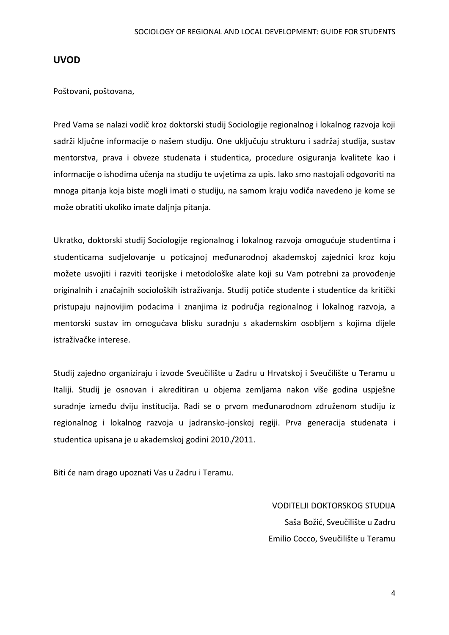### <span id="page-3-0"></span>**UVOD**

Poštovani, poštovana,

Pred Vama se nalazi vodič kroz doktorski studij Sociologije regionalnog i lokalnog razvoja koji sadrži ključne informacije o našem studiju. One uključuju strukturu i sadržaj studija, sustav mentorstva, prava i obveze studenata i studentica, procedure osiguranja kvalitete kao i informacije o ishodima učenja na studiju te uvjetima za upis. Iako smo nastojali odgovoriti na mnoga pitanja koja biste mogli imati o studiju, na samom kraju vodiča navedeno je kome se može obratiti ukoliko imate daljnja pitanja.

Ukratko, doktorski studij Sociologije regionalnog i lokalnog razvoja omogućuje studentima i studenticama sudjelovanje u poticajnoj međunarodnoj akademskoj zajednici kroz koju možete usvojiti i razviti teorijske i metodološke alate koji su Vam potrebni za provođenje originalnih i značajnih socioloških istraživanja. Studij potiče studente i studentice da kritički pristupaju najnovijim podacima i znanjima iz područja regionalnog i lokalnog razvoja, a mentorski sustav im omogućava blisku suradnju s akademskim osobljem s kojima dijele istraživačke interese.

Studij zajedno organiziraju i izvode Sveučilište u Zadru u Hrvatskoj i Sveučilište u Teramu u Italiji. Studij je osnovan i akreditiran u objema zemljama nakon više godina uspješne suradnje između dviju institucija. Radi se o prvom međunarodnom združenom studiju iz regionalnog i lokalnog razvoja u jadransko-jonskoj regiji. Prva generacija studenata i studentica upisana je u akademskoj godini 2010./2011.

Biti će nam drago upoznati Vas u Zadru i Teramu.

VODITELJI DOKTORSKOG STUDIJA Saša Božić, Sveučilište u Zadru Emilio Cocco, Sveučilište u Teramu

4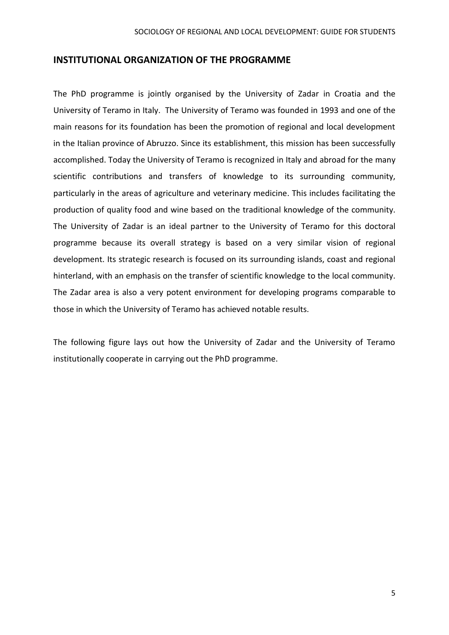### <span id="page-4-0"></span>**INSTITUTIONAL ORGANIZATION OF THE PROGRAMME**

The PhD programme is jointly organised by the University of Zadar in Croatia and the University of Teramo in Italy. The University of Teramo was founded in 1993 and one of the main reasons for its foundation has been the promotion of regional and local development in the Italian province of Abruzzo. Since its establishment, this mission has been successfully accomplished. Today the University of Teramo is recognized in Italy and abroad for the many scientific contributions and transfers of knowledge to its surrounding community, particularly in the areas of agriculture and veterinary medicine. This includes facilitating the production of quality food and wine based on the traditional knowledge of the community. The University of Zadar is an ideal partner to the University of Teramo for this doctoral programme because its overall strategy is based on a very similar vision of regional development. Its strategic research is focused on its surrounding islands, coast and regional hinterland, with an emphasis on the transfer of scientific knowledge to the local community. The Zadar area is also a very potent environment for developing programs comparable to those in which the University of Teramo has achieved notable results.

The following figure lays out how the University of Zadar and the University of Teramo institutionally cooperate in carrying out the PhD programme.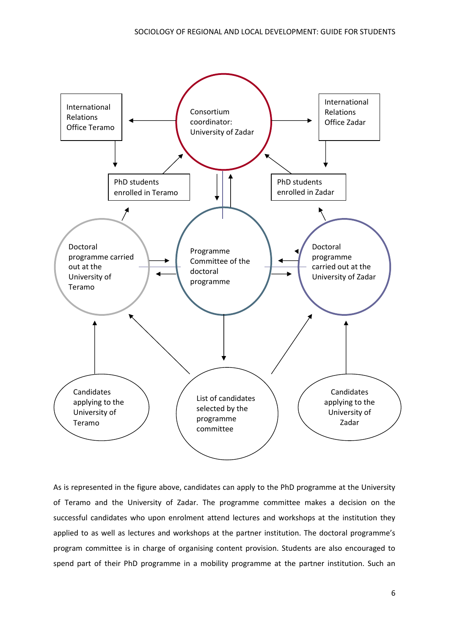

As is represented in the figure above, candidates can apply to the PhD programme at the University of Teramo and the University of Zadar. The programme committee makes a decision on the successful candidates who upon enrolment attend lectures and workshops at the institution they applied to as well as lectures and workshops at the partner institution. The doctoral programme's program committee is in charge of organising content provision. Students are also encouraged to spend part of their PhD programme in a mobility programme at the partner institution. Such an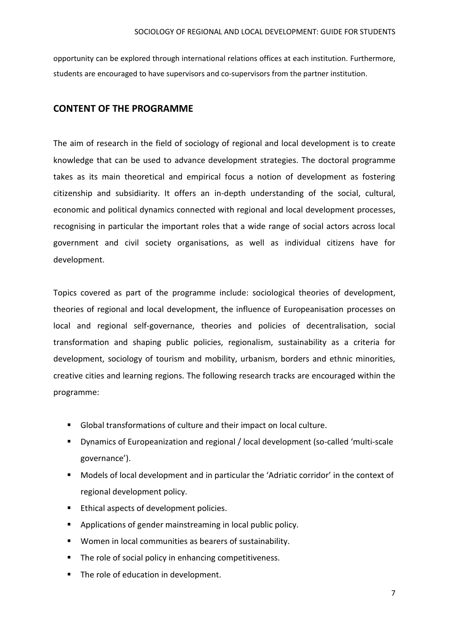opportunity can be explored through international relations offices at each institution. Furthermore, students are encouraged to have supervisors and co-supervisors from the partner institution.

## <span id="page-6-0"></span>**CONTENT OF THE PROGRAMME**

The aim of research in the field of sociology of regional and local development is to create knowledge that can be used to advance development strategies. The doctoral programme takes as its main theoretical and empirical focus a notion of development as fostering citizenship and subsidiarity. It offers an in-depth understanding of the social, cultural, economic and political dynamics connected with regional and local development processes, recognising in particular the important roles that a wide range of social actors across local government and civil society organisations, as well as individual citizens have for development.

Topics covered as part of the programme include: sociological theories of development, theories of regional and local development, the influence of Europeanisation processes on local and regional self-governance, theories and policies of decentralisation, social transformation and shaping public policies, regionalism, sustainability as a criteria for development, sociology of tourism and mobility, urbanism, borders and ethnic minorities, creative cities and learning regions. The following research tracks are encouraged within the programme:

- Global transformations of culture and their impact on local culture.
- Dynamics of Europeanization and regional / local development (so-called 'multi-scale governance').
- Models of local development and in particular the 'Adriatic corridor' in the context of regional development policy.
- **Ethical aspects of development policies.**
- Applications of gender mainstreaming in local public policy.
- Women in local communities as bearers of sustainability.
- The role of social policy in enhancing competitiveness.
- The role of education in development.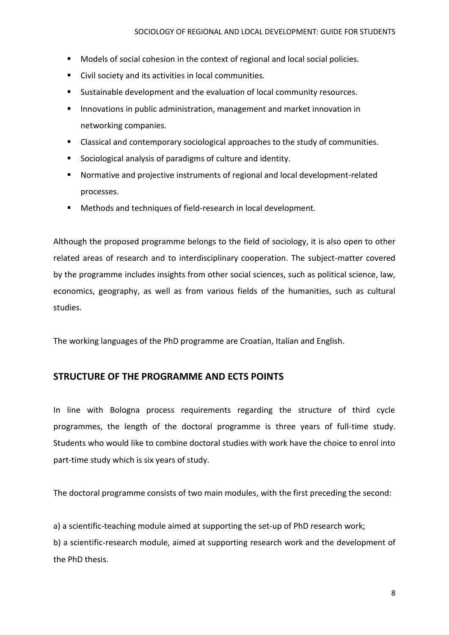- **Models of social cohesion in the context of regional and local social policies.**
- Civil society and its activities in local communities.
- Sustainable development and the evaluation of local community resources.
- **Innovations in public administration, management and market innovation in** networking companies.
- Classical and contemporary sociological approaches to the study of communities.
- Sociological analysis of paradigms of culture and identity.
- Normative and projective instruments of regional and local development-related processes.
- Methods and techniques of field-research in local development.

Although the proposed programme belongs to the field of sociology, it is also open to other related areas of research and to interdisciplinary cooperation. The subject-matter covered by the programme includes insights from other social sciences, such as political science, law, economics, geography, as well as from various fields of the humanities, such as cultural studies.

<span id="page-7-0"></span>The working languages of the PhD programme are Croatian, Italian and English.

# **STRUCTURE OF THE PROGRAMME AND ECTS POINTS**

In line with Bologna process requirements regarding the structure of third cycle programmes, the length of the doctoral programme is three years of full-time study. Students who would like to combine doctoral studies with work have the choice to enrol into part-time study which is six years of study.

The doctoral programme consists of two main modules, with the first preceding the second:

a) a scientific-teaching module aimed at supporting the set-up of PhD research work;

b) a scientific-research module, aimed at supporting research work and the development of the PhD thesis.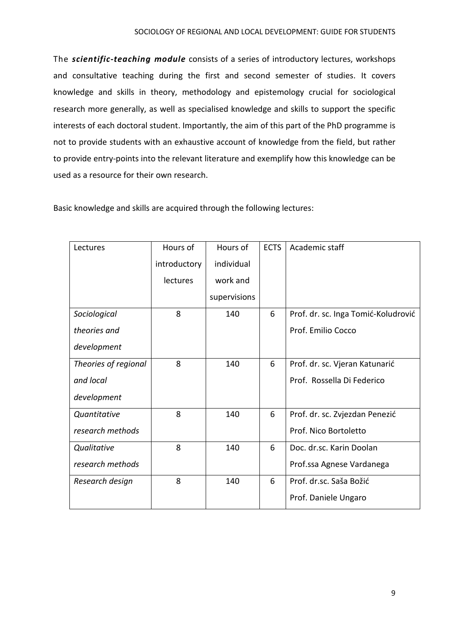The *scientific-teaching module* consists of a series of introductory lectures, workshops and consultative teaching during the first and second semester of studies. It covers knowledge and skills in theory, methodology and epistemology crucial for sociological research more generally, as well as specialised knowledge and skills to support the specific interests of each doctoral student. Importantly, the aim of this part of the PhD programme is not to provide students with an exhaustive account of knowledge from the field, but rather to provide entry-points into the relevant literature and exemplify how this knowledge can be used as a resource for their own research.

Basic knowledge and skills are acquired through the following lectures:

| Lectures             | Hours of     | Hours of     | <b>ECTS</b> | Academic staff                      |
|----------------------|--------------|--------------|-------------|-------------------------------------|
|                      | introductory | individual   |             |                                     |
|                      | lectures     | work and     |             |                                     |
|                      |              | supervisions |             |                                     |
| Sociological         | 8            | 140          | 6           | Prof. dr. sc. Inga Tomić-Koludrović |
| theories and         |              |              |             | Prof. Emilio Cocco                  |
| development          |              |              |             |                                     |
| Theories of regional | 8            | 140          | 6           | Prof. dr. sc. Vjeran Katunarić      |
| and local            |              |              |             | Prof. Rossella Di Federico          |
| development          |              |              |             |                                     |
| Quantitative         | 8            | 140          | 6           | Prof. dr. sc. Zvjezdan Penezić      |
| research methods     |              |              |             | Prof. Nico Bortoletto               |
| Qualitative          | 8            | 140          | 6           | Doc. dr.sc. Karin Doolan            |
| research methods     |              |              |             | Prof.ssa Agnese Vardanega           |
| Research design      | 8            | 140          | 6           | Prof. dr.sc. Saša Božić             |
|                      |              |              |             | Prof. Daniele Ungaro                |
|                      |              |              |             |                                     |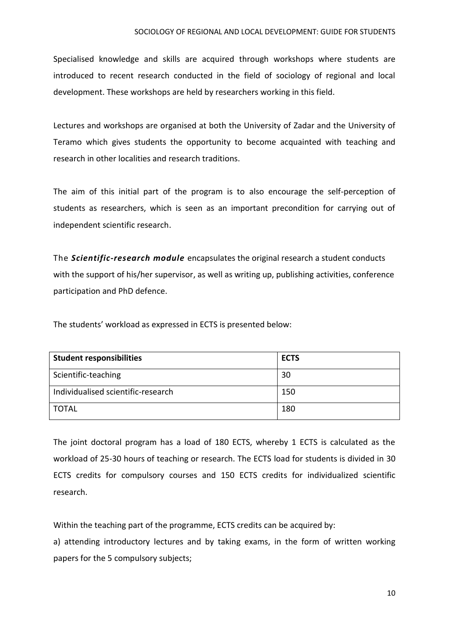#### SOCIOLOGY OF REGIONAL AND LOCAL DEVELOPMENT: GUIDE FOR STUDENTS

Specialised knowledge and skills are acquired through workshops where students are introduced to recent research conducted in the field of sociology of regional and local development. These workshops are held by researchers working in this field.

Lectures and workshops are organised at both the University of Zadar and the University of Teramo which gives students the opportunity to become acquainted with teaching and research in other localities and research traditions.

The aim of this initial part of the program is to also encourage the self-perception of students as researchers, which is seen as an important precondition for carrying out of independent scientific research.

The *Scientific-research module* encapsulates the original research a student conducts with the support of his/her supervisor, as well as writing up, publishing activities, conference participation and PhD defence.

The students' workload as expressed in ECTS is presented below:

| <b>Student responsibilities</b>    | <b>ECTS</b> |
|------------------------------------|-------------|
| Scientific-teaching                | 30          |
| Individualised scientific-research | 150         |
| <b>TOTAL</b>                       | 180         |

The joint doctoral program has a load of 180 ECTS, whereby 1 ECTS is calculated as the workload of 25-30 hours of teaching or research. The ECTS load for students is divided in 30 ECTS credits for compulsory courses and 150 ECTS credits for individualized scientific research.

Within the teaching part of the programme, ECTS credits can be acquired by:

a) attending introductory lectures and by taking exams, in the form of written working papers for the 5 compulsory subjects;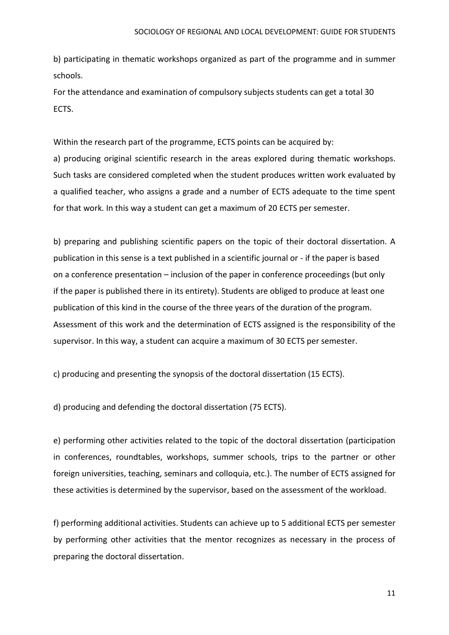b) participating in thematic workshops organized as part of the programme and in summer schools.

For the attendance and examination of compulsory subjects students can get a total 30 ECTS.

Within the research part of the programme, ECTS points can be acquired by: a) producing original scientific research in the areas explored during thematic workshops. Such tasks are considered completed when the student produces written work evaluated by a qualified teacher, who assigns a grade and a number of ECTS adequate to the time spent for that work. In this way a student can get a maximum of 20 ECTS per semester.

b) preparing and publishing scientific papers on the topic of their doctoral dissertation. A publication in this sense is a text published in a scientific journal or - if the paper is based on a conference presentation – inclusion of the paper in conference proceedings (but only if the paper is published there in its entirety). Students are obliged to produce at least one publication of this kind in the course of the three years of the duration of the program. Assessment of this work and the determination of ECTS assigned is the responsibility of the supervisor. In this way, a student can acquire a maximum of 30 ECTS per semester.

c) producing and presenting the synopsis of the doctoral dissertation (15 ECTS).

d) producing and defending the doctoral dissertation (75 ECTS).

e) performing other activities related to the topic of the doctoral dissertation (participation in conferences, roundtables, workshops, summer schools, trips to the partner or other foreign universities, teaching, seminars and colloquia, etc.). The number of ECTS assigned for these activities is determined by the supervisor, based on the assessment of the workload.

f) performing additional activities. Students can achieve up to 5 additional ECTS per semester by performing other activities that the mentor recognizes as necessary in the process of preparing the doctoral dissertation.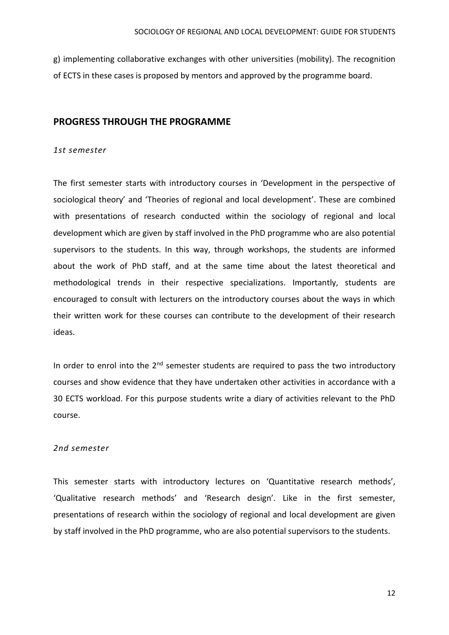g) implementing collaborative exchanges with other universities (mobility). The recognition of ECTS in these cases is proposed by mentors and approved by the programme board.

### <span id="page-11-0"></span>**PROGRESS THROUGH THE PROGRAMME**

#### *1st semester*

The first semester starts with introductory courses in 'Development in the perspective of sociological theory' and 'Theories of regional and local development'. These are combined with presentations of research conducted within the sociology of regional and local development which are given by staff involved in the PhD programme who are also potential supervisors to the students. In this way, through workshops, the students are informed about the work of PhD staff, and at the same time about the latest theoretical and methodological trends in their respective specializations. Importantly, students are encouraged to consult with lecturers on the introductory courses about the ways in which their written work for these courses can contribute to the development of their research ideas.

In order to enrol into the  $2<sup>nd</sup>$  semester students are required to pass the two introductory courses and show evidence that they have undertaken other activities in accordance with a 30 ECTS workload. For this purpose students write a diary of activities relevant to the PhD course.

#### *2nd semester*

This semester starts with introductory lectures on 'Quantitative research methods', 'Qualitative research methods' and 'Research design'. Like in the first semester, presentations of research within the sociology of regional and local development are given by staff involved in the PhD programme, who are also potential supervisors to the students.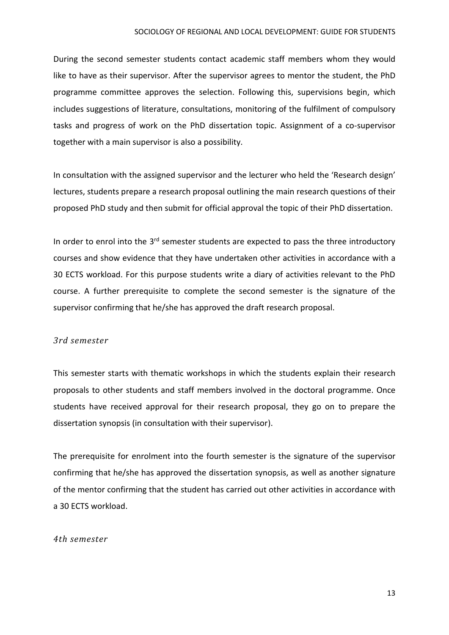#### SOCIOLOGY OF REGIONAL AND LOCAL DEVELOPMENT: GUIDE FOR STUDENTS

During the second semester students contact academic staff members whom they would like to have as their supervisor. After the supervisor agrees to mentor the student, the PhD programme committee approves the selection. Following this, supervisions begin, which includes suggestions of literature, consultations, monitoring of the fulfilment of compulsory tasks and progress of work on the PhD dissertation topic. Assignment of a co-supervisor together with a main supervisor is also a possibility.

In consultation with the assigned supervisor and the lecturer who held the 'Research design' lectures, students prepare a research proposal outlining the main research questions of their proposed PhD study and then submit for official approval the topic of their PhD dissertation.

In order to enrol into the 3<sup>rd</sup> semester students are expected to pass the three introductory courses and show evidence that they have undertaken other activities in accordance with a 30 ECTS workload. For this purpose students write a diary of activities relevant to the PhD course. A further prerequisite to complete the second semester is the signature of the supervisor confirming that he/she has approved the draft research proposal.

#### *3rd semester*

This semester starts with thematic workshops in which the students explain their research proposals to other students and staff members involved in the doctoral programme. Once students have received approval for their research proposal, they go on to prepare the dissertation synopsis (in consultation with their supervisor).

The prerequisite for enrolment into the fourth semester is the signature of the supervisor confirming that he/she has approved the dissertation synopsis, as well as another signature of the mentor confirming that the student has carried out other activities in accordance with a 30 ECTS workload.

#### *4th semester*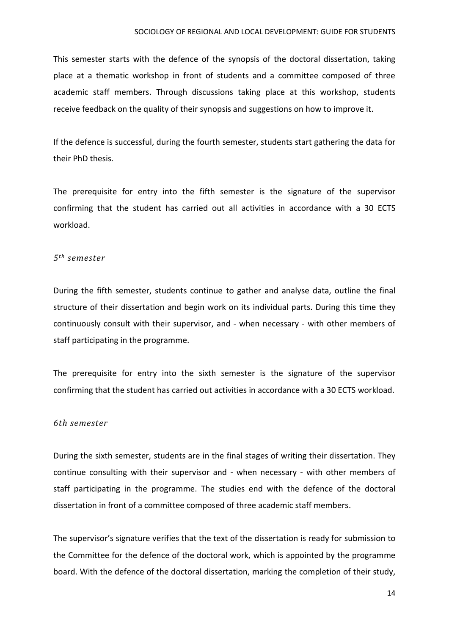This semester starts with the defence of the synopsis of the doctoral dissertation, taking place at a thematic workshop in front of students and a committee composed of three academic staff members. Through discussions taking place at this workshop, students receive feedback on the quality of their synopsis and suggestions on how to improve it.

If the defence is successful, during the fourth semester, students start gathering the data for their PhD thesis.

The prerequisite for entry into the fifth semester is the signature of the supervisor confirming that the student has carried out all activities in accordance with a 30 ECTS workload.

#### *5th semester*

During the fifth semester, students continue to gather and analyse data, outline the final structure of their dissertation and begin work on its individual parts. During this time they continuously consult with their supervisor, and - when necessary - with other members of staff participating in the programme.

The prerequisite for entry into the sixth semester is the signature of the supervisor confirming that the student has carried out activities in accordance with a 30 ECTS workload.

#### *6th semester*

During the sixth semester, students are in the final stages of writing their dissertation. They continue consulting with their supervisor and - when necessary - with other members of staff participating in the programme. The studies end with the defence of the doctoral dissertation in front of a committee composed of three academic staff members.

The supervisor's signature verifies that the text of the dissertation is ready for submission to the Committee for the defence of the doctoral work, which is appointed by the programme board. With the defence of the doctoral dissertation, marking the completion of their study,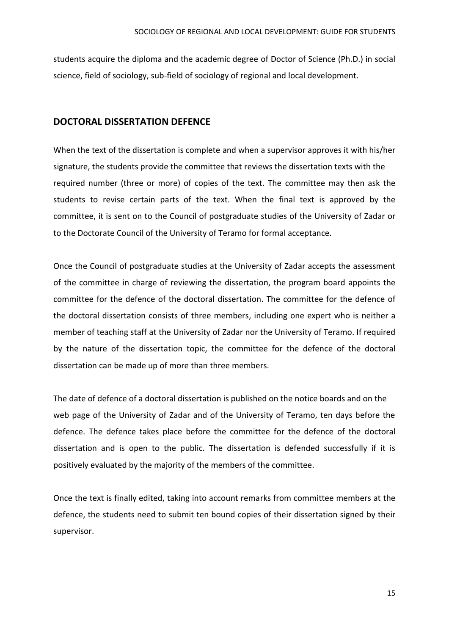students acquire the diploma and the academic degree of Doctor of Science (Ph.D.) in social science, field of sociology, sub-field of sociology of regional and local development.

## <span id="page-14-0"></span>**DOCTORAL DISSERTATION DEFENCE**

When the text of the dissertation is complete and when a supervisor approves it with his/her signature, the students provide the committee that reviews the dissertation texts with the required number (three or more) of copies of the text. The committee may then ask the students to revise certain parts of the text. When the final text is approved by the committee, it is sent on to the Council of postgraduate studies of the University of Zadar or to the Doctorate Council of the University of Teramo for formal acceptance.

Once the Council of postgraduate studies at the University of Zadar accepts the assessment of the committee in charge of reviewing the dissertation, the program board appoints the committee for the defence of the doctoral dissertation. The committee for the defence of the doctoral dissertation consists of three members, including one expert who is neither a member of teaching staff at the University of Zadar nor the University of Teramo. If required by the nature of the dissertation topic, the committee for the defence of the doctoral dissertation can be made up of more than three members.

The date of defence of a doctoral dissertation is published on the notice boards and on the web page of the University of Zadar and of the University of Teramo, ten days before the defence. The defence takes place before the committee for the defence of the doctoral dissertation and is open to the public. The dissertation is defended successfully if it is positively evaluated by the majority of the members of the committee.

Once the text is finally edited, taking into account remarks from committee members at the defence, the students need to submit ten bound copies of their dissertation signed by their supervisor.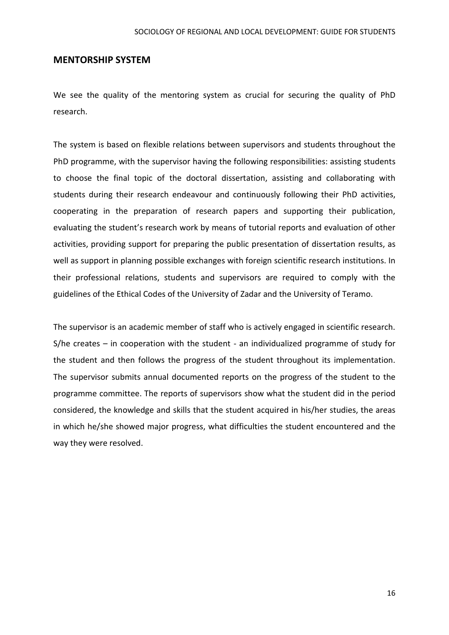### <span id="page-15-0"></span>**MENTORSHIP SYSTEM**

We see the quality of the mentoring system as crucial for securing the quality of PhD research.

The system is based on flexible relations between supervisors and students throughout the PhD programme, with the supervisor having the following responsibilities: assisting students to choose the final topic of the doctoral dissertation, assisting and collaborating with students during their research endeavour and continuously following their PhD activities, cooperating in the preparation of research papers and supporting their publication, evaluating the student's research work by means of tutorial reports and evaluation of other activities, providing support for preparing the public presentation of dissertation results, as well as support in planning possible exchanges with foreign scientific research institutions. In their professional relations, students and supervisors are required to comply with the guidelines of the Ethical Codes of the University of Zadar and the University of Teramo.

The supervisor is an academic member of staff who is actively engaged in scientific research. S/he creates – in cooperation with the student - an individualized programme of study for the student and then follows the progress of the student throughout its implementation. The supervisor submits annual documented reports on the progress of the student to the programme committee. The reports of supervisors show what the student did in the period considered, the knowledge and skills that the student acquired in his/her studies, the areas in which he/she showed major progress, what difficulties the student encountered and the way they were resolved.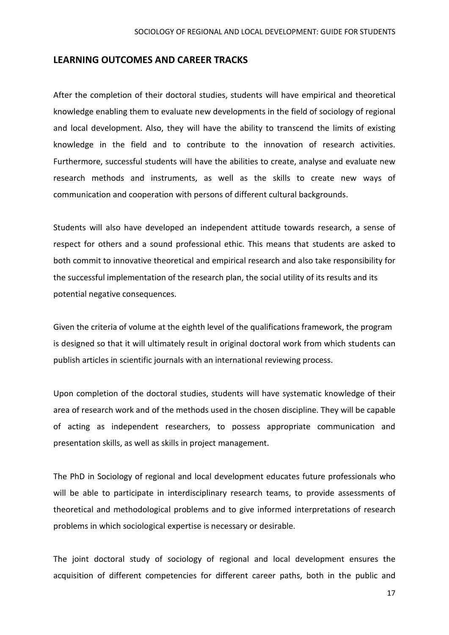### <span id="page-16-0"></span>**LEARNING OUTCOMES AND CAREER TRACKS**

After the completion of their doctoral studies, students will have empirical and theoretical knowledge enabling them to evaluate new developments in the field of sociology of regional and local development. Also, they will have the ability to transcend the limits of existing knowledge in the field and to contribute to the innovation of research activities. Furthermore, successful students will have the abilities to create, analyse and evaluate new research methods and instruments, as well as the skills to create new ways of communication and cooperation with persons of different cultural backgrounds.

Students will also have developed an independent attitude towards research, a sense of respect for others and a sound professional ethic. This means that students are asked to both commit to innovative theoretical and empirical research and also take responsibility for the successful implementation of the research plan, the social utility of its results and its potential negative consequences.

Given the criteria of volume at the eighth level of the qualifications framework, the program is designed so that it will ultimately result in original doctoral work from which students can publish articles in scientific journals with an international reviewing process.

Upon completion of the doctoral studies, students will have systematic knowledge of their area of research work and of the methods used in the chosen discipline. They will be capable of acting as independent researchers, to possess appropriate communication and presentation skills, as well as skills in project management.

The PhD in Sociology of regional and local development educates future professionals who will be able to participate in interdisciplinary research teams, to provide assessments of theoretical and methodological problems and to give informed interpretations of research problems in which sociological expertise is necessary or desirable.

The joint doctoral study of sociology of regional and local development ensures the acquisition of different competencies for different career paths, both in the public and

17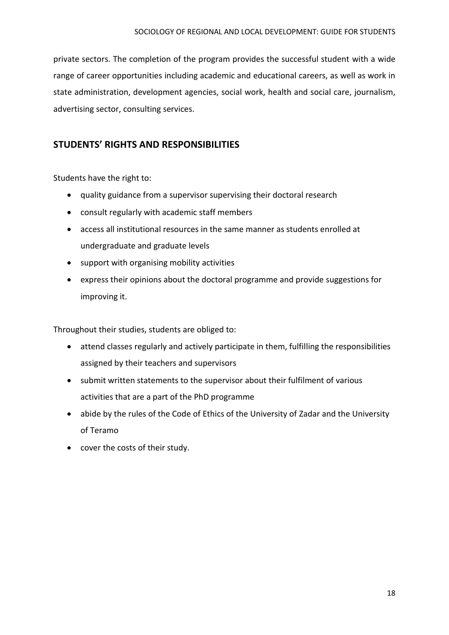private sectors. The completion of the program provides the successful student with a wide range of career opportunities including academic and educational careers, as well as work in state administration, development agencies, social work, health and social care, journalism, advertising sector, consulting services.

# <span id="page-17-0"></span>**STUDENTS' RIGHTS AND RESPONSIBILITIES**

Students have the right to:

- quality guidance from a supervisor supervising their doctoral research
- consult regularly with academic staff members
- access all institutional resources in the same manner as students enrolled at undergraduate and graduate levels
- support with organising mobility activities
- express their opinions about the doctoral programme and provide suggestions for improving it.

Throughout their studies, students are obliged to:

- attend classes regularly and actively participate in them, fulfilling the responsibilities assigned by their teachers and supervisors
- submit written statements to the supervisor about their fulfilment of various activities that are a part of the PhD programme
- abide by the rules of the Code of Ethics of the University of Zadar and the University of Teramo
- cover the costs of their study.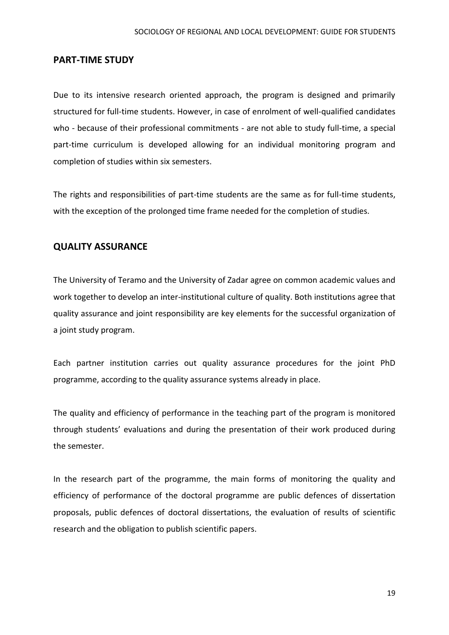## <span id="page-18-0"></span>**PART-TIME STUDY**

Due to its intensive research oriented approach, the program is designed and primarily structured for full-time students. However, in case of enrolment of well-qualified candidates who - because of their professional commitments - are not able to study full-time, a special part-time curriculum is developed allowing for an individual monitoring program and completion of studies within six semesters.

The rights and responsibilities of part-time students are the same as for full-time students, with the exception of the prolonged time frame needed for the completion of studies.

# <span id="page-18-1"></span>**QUALITY ASSURANCE**

The University of Teramo and the University of Zadar agree on common academic values and work together to develop an inter-institutional culture of quality. Both institutions agree that quality assurance and joint responsibility are key elements for the successful organization of a joint study program.

Each partner institution carries out quality assurance procedures for the joint PhD programme, according to the quality assurance systems already in place.

The quality and efficiency of performance in the teaching part of the program is monitored through students' evaluations and during the presentation of their work produced during the semester.

In the research part of the programme, the main forms of monitoring the quality and efficiency of performance of the doctoral programme are public defences of dissertation proposals, public defences of doctoral dissertations, the evaluation of results of scientific research and the obligation to publish scientific papers.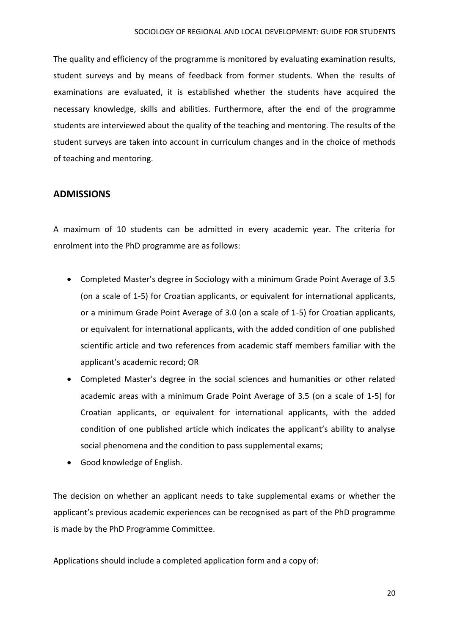The quality and efficiency of the programme is monitored by evaluating examination results, student surveys and by means of feedback from former students. When the results of examinations are evaluated, it is established whether the students have acquired the necessary knowledge, skills and abilities. Furthermore, after the end of the programme students are interviewed about the quality of the teaching and mentoring. The results of the student surveys are taken into account in curriculum changes and in the choice of methods of teaching and mentoring.

# <span id="page-19-0"></span>**ADMISSIONS**

A maximum of 10 students can be admitted in every academic year. The criteria for enrolment into the PhD programme are as follows:

- Completed Master's degree in Sociology with a minimum Grade Point Average of 3.5 (on a scale of 1-5) for Croatian applicants, or equivalent for international applicants, or a minimum Grade Point Average of 3.0 (on a scale of 1-5) for Croatian applicants, or equivalent for international applicants, with the added condition of one published scientific article and two references from academic staff members familiar with the applicant's academic record; OR
- Completed Master's degree in the social sciences and humanities or other related academic areas with a minimum Grade Point Average of 3.5 (on a scale of 1-5) for Croatian applicants, or equivalent for international applicants, with the added condition of one published article which indicates the applicant's ability to analyse social phenomena and the condition to pass supplemental exams;
- Good knowledge of English.

The decision on whether an applicant needs to take supplemental exams or whether the applicant's previous academic experiences can be recognised as part of the PhD programme is made by the PhD Programme Committee.

Applications should include a completed application form and a copy of: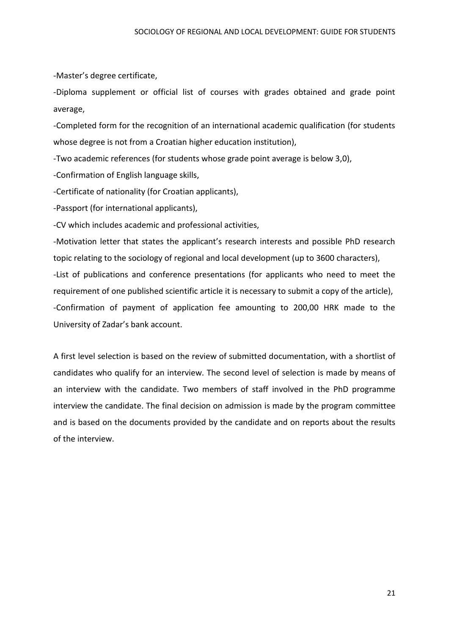-Master's degree certificate,

-Diploma supplement or official list of courses with grades obtained and grade point average,

-Completed form for the recognition of an international academic qualification (for students whose degree is not from a Croatian higher education institution),

-Two academic references (for students whose grade point average is below 3,0),

-Confirmation of English language skills,

-Certificate of nationality (for Croatian applicants),

-Passport (for international applicants),

-CV which includes academic and professional activities,

-Motivation letter that states the applicant's research interests and possible PhD research topic relating to the sociology of regional and local development (up to 3600 characters), -List of publications and conference presentations (for applicants who need to meet the requirement of one published scientific article it is necessary to submit a copy of the article), -Confirmation of payment of application fee amounting to 200,00 HRK made to the University of Zadar's bank account.

A first level selection is based on the review of submitted documentation, with a shortlist of candidates who qualify for an interview. The second level of selection is made by means of an interview with the candidate. Two members of staff involved in the PhD programme interview the candidate. The final decision on admission is made by the program committee and is based on the documents provided by the candidate and on reports about the results of the interview.